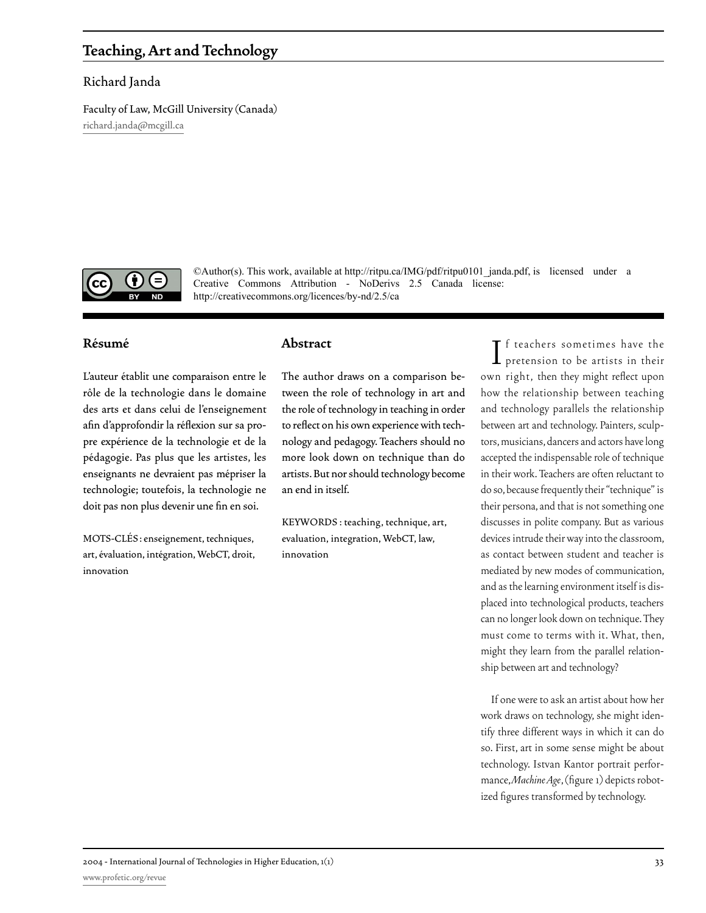# **Teaching, Art and Technology**

## Richard Janda

Faculty of Law, McGill University (Canada) [richard.janda@mcgill.ca](mailto:richard.janda@mcgill.ca )



©Author(s). This work, available at http://ritpu.ca/IMG/pdf/ritpu0101\_janda.pdf, is licensed under a Creative Commons Attribution - NoDerivs 2.5 Canada license: http://creativecommons.org/licences/by-nd/2.5/ca

# **Résumé**

L'auteur établit une comparaison entre le rôle de la technologie dans le domaine des arts et dans celui de l'enseignement afin d'approfondir la réflexion sur sa propre expérience de la technologie et de la pédagogie. Pas plus que les artistes, les enseignants ne devraient pas mépriser la technologie; toutefois, la technologie ne doit pas non plus devenir une fin en soi.

MOTS-CLÉS : enseignement, techniques, art, évaluation, intégration, WebCT, droit, innovation

#### **Abstract**

The author draws on a comparison between the role of technology in art and the role of technology in teaching in order to reflect on his own experience with technology and pedagogy. Teachers should no more look down on technique than do artists. But nor should technology become an end in itself.

KEYWORDS : teaching, technique, art, evaluation, integration, WebCT, law, innovation

 $\prod$  f teachers sometimes have the pretension to be artists in their **T** f teachers sometimes have the own right, then they might reflect upon how the relationship between teaching and technology parallels the relationship between art and technology. Painters, sculptors, musicians, dancers and actors have long accepted the indispensable role of technique in their work. Teachers are often reluctant to do so, because frequently their "technique" is their persona, and that is not something one discusses in polite company. But as various devices intrude their way into the classroom, as contact between student and teacher is mediated by new modes of communication, and as the learning environment itself is displaced into technological products, teachers can no longer look down on technique. They must come to terms with it. What, then, might they learn from the parallel relationship between art and technology?

If one were to ask an artist about how her work draws on technology, she might identify three different ways in which it can do so. First, art in some sense might be about technology. Istvan Kantor portrait performance, *Machine Age*, (figure 1) depicts robotized figures transformed by technology.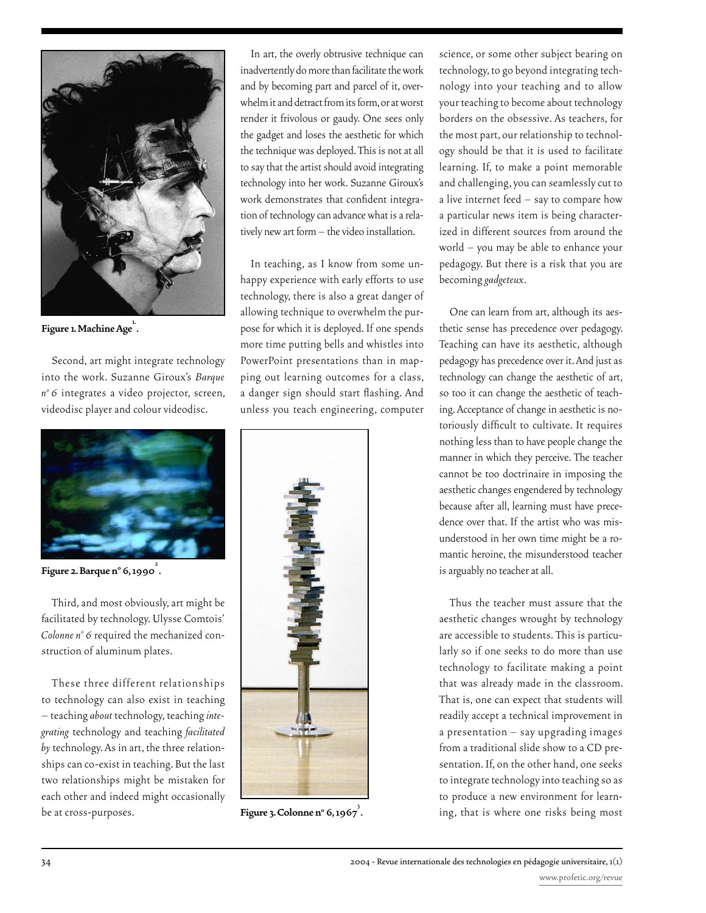

Figure 1. Machine Age<sup>1</sup>.

Second, art might integrate technology into the work. Suzanne Giroux's *Barque*  n<sup>o</sup> 6 integrates a video projector, screen, videodisc player and colour videodisc.



**Figure 2. Barque n° 6, 1990<sup>2</sup>.** 

Third, and most obviously, art might be facilitated by technology. Ulysse Comtois' Colonne nº 6 required the mechanized construction of aluminum plates.

These three different relationships to technology can also exist in teaching – teaching *about* technology, teaching *integrating* technology and teaching *facilitated by* technology. As in art, the three relationships can co-exist in teaching. But the last two relationships might be mistaken for each other and indeed might occasionally be at cross-purposes.

In art, the overly obtrusive technique can inadvertently do more than facilitate the work and by becoming part and parcel of it, overwhelm it and detract from its form, or at worst render it frivolous or gaudy. One sees only the gadget and loses the aesthetic for which the technique was deployed. This is not at all to say that the artist should avoid integrating technology into her work. Suzanne Giroux's work demonstrates that confident integration of technology can advance what is a relatively new art form – the video installation.

In teaching, as I know from some unhappy experience with early efforts to use technology, there is also a great danger of allowing technique to overwhelm the purpose for which it is deployed. If one spends more time putting bells and whistles into PowerPoint presentations than in mapping out learning outcomes for a class, a danger sign should start flashing. And unless you teach engineering, computer



**Figure 3. Colonne n° 6, 1967<sup>3</sup>.** 

science, or some other subject bearing on technology, to go beyond integrating technology into your teaching and to allow your teaching to become about technology borders on the obsessive. As teachers, for the most part, our relationship to technology should be that it is used to facilitate learning. If, to make a point memorable and challenging, you can seamlessly cut to a live internet feed – say to compare how a particular news item is being characterized in different sources from around the world – you may be able to enhance your pedagogy. But there is a risk that you are becoming *gadgeteux*.

One can learn from art, although its aesthetic sense has precedence over pedagogy. Teaching can have its aesthetic, although pedagogy has precedence over it. And just as technology can change the aesthetic of art, so too it can change the aesthetic of teaching. Acceptance of change in aesthetic is notoriously difficult to cultivate. It requires nothing less than to have people change the manner in which they perceive. The teacher cannot be too doctrinaire in imposing the aesthetic changes engendered by technology because after all, learning must have precedence over that. If the artist who was misunderstood in her own time might be a romantic heroine, the misunderstood teacher is arguably no teacher at all.

Thus the teacher must assure that the aesthetic changes wrought by technology are accessible to students. This is particularly so if one seeks to do more than use technology to facilitate making a point that was already made in the classroom. That is, one can expect that students will readily accept a technical improvement in a presentation – say upgrading images from a traditional slide show to a CD presentation. If, on the other hand, one seeks to integrate technology into teaching so as to produce a new environment for learning, that is where one risks being most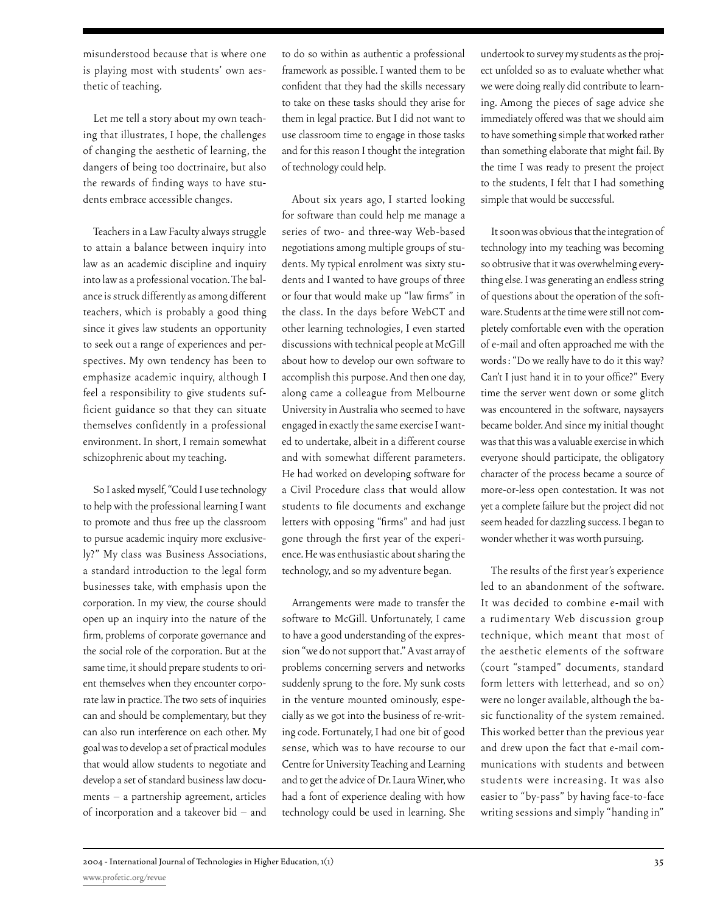misunderstood because that is where one is playing most with students' own aesthetic of teaching.

Let me tell a story about my own teaching that illustrates, I hope, the challenges of changing the aesthetic of learning, the dangers of being too doctrinaire, but also the rewards of finding ways to have students embrace accessible changes.

Teachers in a Law Faculty always struggle to attain a balance between inquiry into law as an academic discipline and inquiry into law as a professional vocation. The balance is struck differently as among different teachers, which is probably a good thing since it gives law students an opportunity to seek out a range of experiences and perspectives. My own tendency has been to emphasize academic inquiry, although I feel a responsibility to give students sufficient guidance so that they can situate themselves confidently in a professional environment. In short, I remain somewhat schizophrenic about my teaching.

So I asked myself, "Could I use technology to help with the professional learning I want to promote and thus free up the classroom to pursue academic inquiry more exclusively?" My class was Business Associations, a standard introduction to the legal form businesses take, with emphasis upon the corporation. In my view, the course should open up an inquiry into the nature of the firm, problems of corporate governance and the social role of the corporation. But at the same time, it should prepare students to orient themselves when they encounter corporate law in practice. The two sets of inquiries can and should be complementary, but they can also run interference on each other. My goal was to develop a set of practical modules that would allow students to negotiate and develop a set of standard business law documents – a partnership agreement, articles of incorporation and a takeover bid – and to do so within as authentic a professional framework as possible. I wanted them to be confident that they had the skills necessary to take on these tasks should they arise for them in legal practice. But I did not want to use classroom time to engage in those tasks and for this reason I thought the integration of technology could help.

About six years ago, I started looking for software than could help me manage a series of two- and three-way Web-based negotiations among multiple groups of students. My typical enrolment was sixty students and I wanted to have groups of three or four that would make up "law firms" in the class. In the days before WebCT and other learning technologies, I even started discussions with technical people at McGill about how to develop our own software to accomplish this purpose. And then one day, along came a colleague from Melbourne University in Australia who seemed to have engaged in exactly the same exercise I wanted to undertake, albeit in a different course and with somewhat different parameters. He had worked on developing software for a Civil Procedure class that would allow students to file documents and exchange letters with opposing "firms" and had just gone through the first year of the experience. He was enthusiastic about sharing the technology, and so my adventure began.

Arrangements were made to transfer the software to McGill. Unfortunately, I came to have a good understanding of the expression "we do not support that." A vast array of problems concerning servers and networks suddenly sprung to the fore. My sunk costs in the venture mounted ominously, especially as we got into the business of re-writing code. Fortunately, I had one bit of good sense, which was to have recourse to our Centre for University Teaching and Learning and to get the advice of Dr. Laura Winer, who had a font of experience dealing with how technology could be used in learning. She

undertook to survey my students as the project unfolded so as to evaluate whether what we were doing really did contribute to learning. Among the pieces of sage advice she immediately offered was that we should aim to have something simple that worked rather than something elaborate that might fail. By the time I was ready to present the project to the students, I felt that I had something simple that would be successful.

It soon was obvious that the integration of technology into my teaching was becoming so obtrusive that it was overwhelming everything else. I was generating an endless string of questions about the operation of the software. Students at the time were still not completely comfortable even with the operation of e-mail and often approached me with the words : "Do we really have to do it this way? Can't I just hand it in to your office?" Every time the server went down or some glitch was encountered in the software, naysayers became bolder. And since my initial thought was that this was a valuable exercise in which everyone should participate, the obligatory character of the process became a source of more-or-less open contestation. It was not yet a complete failure but the project did not seem headed for dazzling success. I began to wonder whether it was worth pursuing.

The results of the first year's experience led to an abandonment of the software. It was decided to combine e-mail with a rudimentary Web discussion group technique, which meant that most of the aesthetic elements of the software (court "stamped" documents, standard form letters with letterhead, and so on) were no longer available, although the basic functionality of the system remained. This worked better than the previous year and drew upon the fact that e-mail communications with students and between students were increasing. It was also easier to "by-pass" by having face-to-face writing sessions and simply "handing in"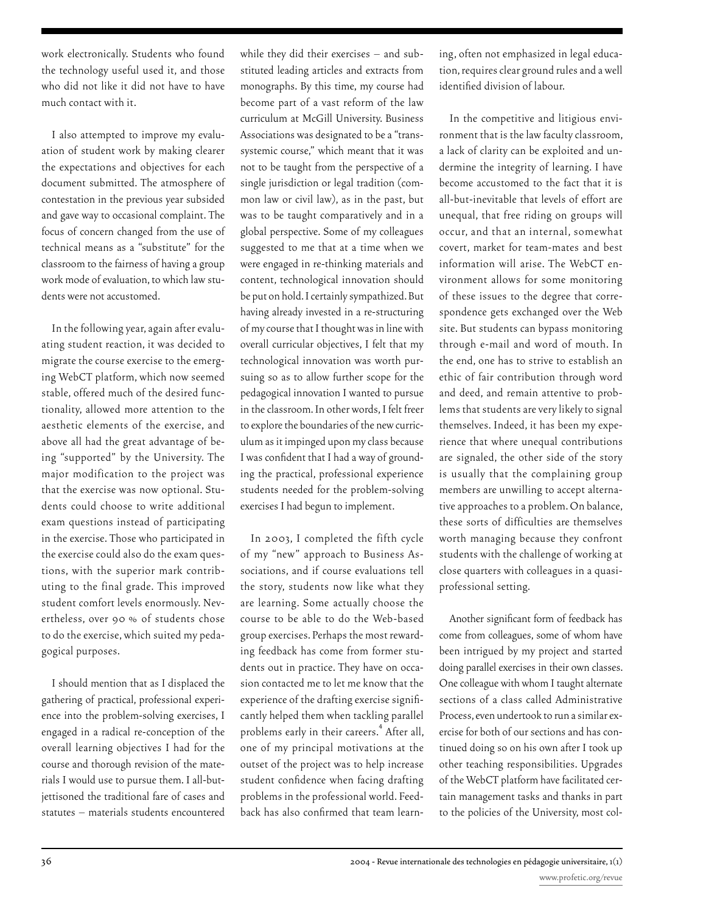work electronically. Students who found the technology useful used it, and those who did not like it did not have to have much contact with it.

I also attempted to improve my evaluation of student work by making clearer the expectations and objectives for each document submitted. The atmosphere of contestation in the previous year subsided and gave way to occasional complaint. The focus of concern changed from the use of technical means as a "substitute" for the classroom to the fairness of having a group work mode of evaluation, to which law students were not accustomed.

In the following year, again after evaluating student reaction, it was decided to migrate the course exercise to the emerging WebCT platform, which now seemed stable, offered much of the desired functionality, allowed more attention to the aesthetic elements of the exercise, and above all had the great advantage of being "supported" by the University. The major modification to the project was that the exercise was now optional. Students could choose to write additional exam questions instead of participating in the exercise. Those who participated in the exercise could also do the exam questions, with the superior mark contributing to the final grade. This improved student comfort levels enormously. Nevertheless, over 90 % of students chose to do the exercise, which suited my pedagogical purposes.

I should mention that as I displaced the gathering of practical, professional experience into the problem-solving exercises, I engaged in a radical re-conception of the overall learning objectives I had for the course and thorough revision of the materials I would use to pursue them. I all-butjettisoned the traditional fare of cases and statutes – materials students encountered while they did their exercises – and substituted leading articles and extracts from monographs. By this time, my course had become part of a vast reform of the law curriculum at McGill University. Business Associations was designated to be a "transsystemic course," which meant that it was not to be taught from the perspective of a single jurisdiction or legal tradition (common law or civil law), as in the past, but was to be taught comparatively and in a global perspective. Some of my colleagues suggested to me that at a time when we were engaged in re-thinking materials and content, technological innovation should be put on hold. I certainly sympathized. But having already invested in a re-structuring of my course that I thought was in line with overall curricular objectives, I felt that my technological innovation was worth pursuing so as to allow further scope for the pedagogical innovation I wanted to pursue in the classroom. In other words, I felt freer to explore the boundaries of the new curriculum as it impinged upon my class because I was confident that I had a way of grounding the practical, professional experience students needed for the problem-solving exercises I had begun to implement.

In 2003, I completed the fifth cycle of my "new" approach to Business Associations, and if course evaluations tell the story, students now like what they are learning. Some actually choose the course to be able to do the Web-based group exercises. Perhaps the most rewarding feedback has come from former students out in practice. They have on occasion contacted me to let me know that the experience of the drafting exercise significantly helped them when tackling parallel problems early in their careers.<sup>4</sup> After all, one of my principal motivations at the outset of the project was to help increase student confidence when facing drafting problems in the professional world. Feedback has also confirmed that team learning, often not emphasized in legal education, requires clear ground rules and a well identified division of labour.

In the competitive and litigious environment that is the law faculty classroom, a lack of clarity can be exploited and undermine the integrity of learning. I have become accustomed to the fact that it is all-but-inevitable that levels of effort are unequal, that free riding on groups will occur, and that an internal, somewhat covert, market for team-mates and best information will arise. The WebCT environment allows for some monitoring of these issues to the degree that correspondence gets exchanged over the Web site. But students can bypass monitoring through e-mail and word of mouth. In the end, one has to strive to establish an ethic of fair contribution through word and deed, and remain attentive to problems that students are very likely to signal themselves. Indeed, it has been my experience that where unequal contributions are signaled, the other side of the story is usually that the complaining group members are unwilling to accept alternative approaches to a problem. On balance, these sorts of difficulties are themselves worth managing because they confront students with the challenge of working at close quarters with colleagues in a quasiprofessional setting.

Another significant form of feedback has come from colleagues, some of whom have been intrigued by my project and started doing parallel exercises in their own classes. One colleague with whom I taught alternate sections of a class called Administrative Process, even undertook to run a similar exercise for both of our sections and has continued doing so on his own after I took up other teaching responsibilities. Upgrades of the WebCT platform have facilitated certain management tasks and thanks in part to the policies of the University, most col-